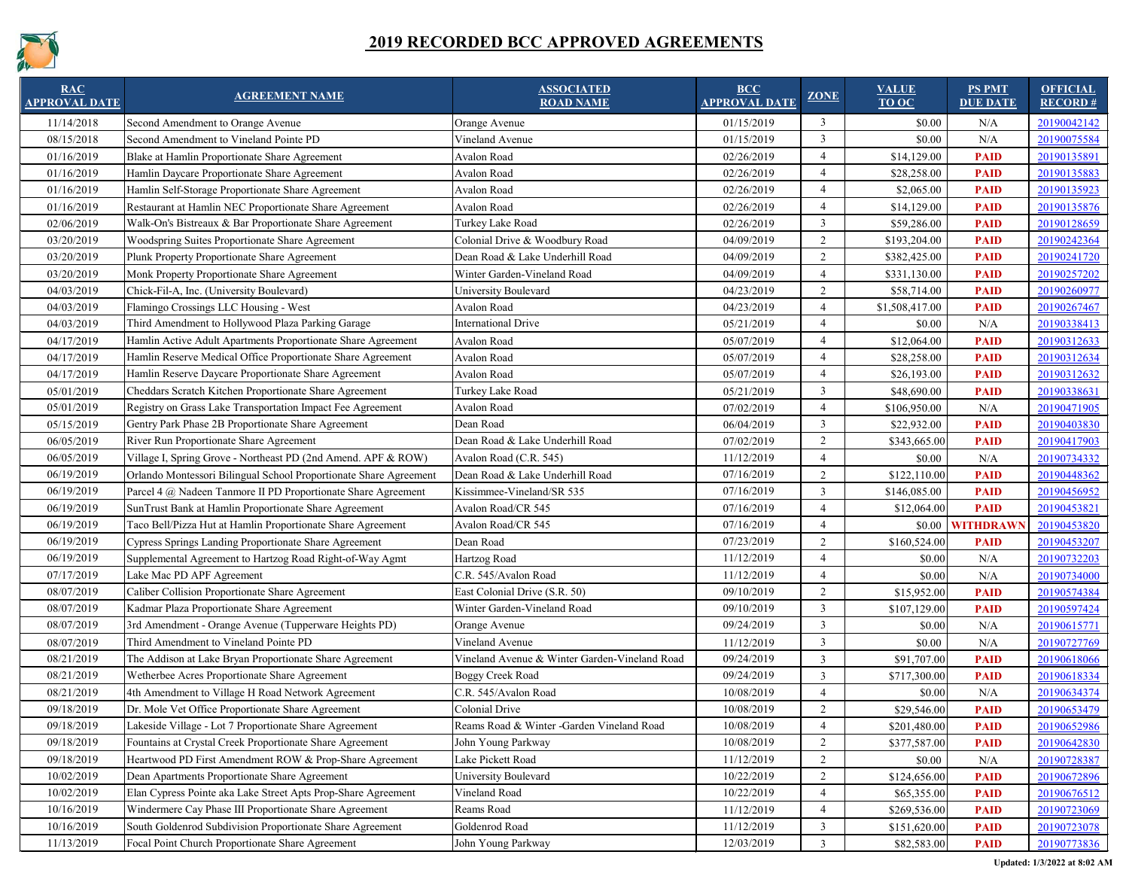

| <b>RAC</b><br><b>APPROVAL DATE</b> | <b>AGREEMENT NAME</b>                                             | <b>ASSOCIATED</b><br><b>ROAD NAME</b>         | $\overline{BCC}$<br><b>APPROVAL DATE</b> | <b>ZONE</b>              | <b>VALUE</b><br>TO OC | <b>PS PMT</b><br><b>DUE DATE</b> | <b>OFFICIAL</b><br>RECORD# |
|------------------------------------|-------------------------------------------------------------------|-----------------------------------------------|------------------------------------------|--------------------------|-----------------------|----------------------------------|----------------------------|
| 11/14/2018                         | Second Amendment to Orange Avenue                                 | Orange Avenue                                 | 01/15/2019                               | 3                        | \$0.00                | N/A                              | 20190042142                |
| 08/15/2018                         | Second Amendment to Vineland Pointe PD                            | Vineland Avenue                               | 01/15/2019                               | 3                        | \$0.00                | N/A                              | 20190075584                |
| 01/16/2019                         | Blake at Hamlin Proportionate Share Agreement                     | <b>Avalon Road</b>                            | 02/26/2019                               | $\overline{\mathcal{A}}$ | \$14,129.00           | <b>PAID</b>                      | 20190135891                |
| 01/16/2019                         | Hamlin Daycare Proportionate Share Agreement                      | <b>Avalon Road</b>                            | 02/26/2019                               |                          | \$28,258.00           | <b>PAID</b>                      | 20190135883                |
| 01/16/2019                         | Hamlin Self-Storage Proportionate Share Agreement                 | Avalon Road                                   | 02/26/2019                               | $\Delta$                 | \$2,065.00            | <b>PAID</b>                      | 20190135923                |
| 01/16/2019                         | Restaurant at Hamlin NEC Proportionate Share Agreement            | Avalon Road                                   | 02/26/2019                               |                          | \$14,129.00           | <b>PAID</b>                      | 20190135876                |
| 02/06/2019                         | Walk-On's Bistreaux & Bar Proportionate Share Agreement           | Turkey Lake Road                              | 02/26/2019                               | $\overline{3}$           | \$59,286.00           | <b>PAID</b>                      | 20190128659                |
| 03/20/2019                         | <b>Woodspring Suites Proportionate Share Agreement</b>            | Colonial Drive & Woodbury Road                | 04/09/2019                               | $\overline{2}$           | \$193,204.00          | <b>PAID</b>                      | 20190242364                |
| 03/20/2019                         | Plunk Property Proportionate Share Agreement                      | Dean Road & Lake Underhill Road               | 04/09/2019                               | 2                        | \$382,425.00          | <b>PAID</b>                      | 20190241720                |
| 03/20/2019                         | Monk Property Proportionate Share Agreement                       | Winter Garden-Vineland Road                   | 04/09/2019                               |                          | \$331,130.00          | <b>PAID</b>                      | 20190257202                |
| 04/03/2019                         | Chick-Fil-A, Inc. (University Boulevard)                          | University Boulevard                          | 04/23/2019                               | 2                        | \$58,714.00           | <b>PAID</b>                      | 20190260977                |
| 04/03/2019                         | Flamingo Crossings LLC Housing - West                             | <b>Avalon Road</b>                            | 04/23/2019                               | $\overline{\mathcal{A}}$ | \$1,508,417.00        | <b>PAID</b>                      | 20190267467                |
| 04/03/2019                         | Third Amendment to Hollywood Plaza Parking Garage                 | <b>International Drive</b>                    | 05/21/2019                               | $\overline{A}$           | \$0.00                | N/A                              | 20190338413                |
| 04/17/2019                         | Hamlin Active Adult Apartments Proportionate Share Agreement      | <b>Avalon Road</b>                            | 05/07/2019                               | $\overline{4}$           | \$12,064.00           | <b>PAID</b>                      | 20190312633                |
| 04/17/2019                         | Hamlin Reserve Medical Office Proportionate Share Agreement       | <b>Avalon Road</b>                            | 05/07/2019                               | $\overline{4}$           | \$28,258.00           | <b>PAID</b>                      | 20190312634                |
| 04/17/2019                         | Hamlin Reserve Daycare Proportionate Share Agreement              | Avalon Road                                   | 05/07/2019                               | 4                        | \$26,193.00           | <b>PAID</b>                      | 20190312632                |
| 05/01/2019                         | Cheddars Scratch Kitchen Proportionate Share Agreement            | Turkey Lake Road                              | 05/21/2019                               | 3                        | \$48,690.00           | <b>PAID</b>                      | 20190338631                |
| 05/01/2019                         | Registry on Grass Lake Transportation Impact Fee Agreement        | <b>Avalon Road</b>                            | 07/02/2019                               | $\overline{A}$           | \$106,950.00          | N/A                              | 20190471905                |
| 05/15/2019                         | Gentry Park Phase 2B Proportionate Share Agreement                | Dean Road                                     | 06/04/2019                               | 3                        | \$22,932.00           | <b>PAID</b>                      | 20190403830                |
| 06/05/2019                         | River Run Proportionate Share Agreement                           | Dean Road & Lake Underhill Road               | 07/02/2019                               | 2                        | \$343,665.00          | <b>PAID</b>                      | 20190417903                |
| 06/05/2019                         | Village I, Spring Grove - Northeast PD (2nd Amend. APF & ROW)     | Avalon Road (C.R. 545)                        | 11/12/2019                               | $\overline{A}$           | \$0.00                | N/A                              | 20190734332                |
| 06/19/2019                         | Orlando Montessori Bilingual School Proportionate Share Agreement | Dean Road & Lake Underhill Road               | 07/16/2019                               | 2                        | \$122,110.00          | <b>PAID</b>                      | 20190448362                |
| 06/19/2019                         | Parcel 4 @ Nadeen Tanmore II PD Proportionate Share Agreement     | Kissimmee-Vineland/SR 535                     | 07/16/2019                               | $\mathbf{3}$             | \$146,085.00          | <b>PAID</b>                      | 20190456952                |
| 06/19/2019                         | SunTrust Bank at Hamlin Proportionate Share Agreement             | Avalon Road/CR 545                            | 07/16/2019                               | $\overline{A}$           | \$12,064.00           | <b>PAID</b>                      | 20190453821                |
| 06/19/2019                         | Taco Bell/Pizza Hut at Hamlin Proportionate Share Agreement       | Avalon Road/CR 545                            | 07/16/2019                               | $\boldsymbol{\Lambda}$   |                       | \$0.00 WITHDRAWN                 | 20190453820                |
| 06/19/2019                         | Cypress Springs Landing Proportionate Share Agreement             | Dean Road                                     | 07/23/2019                               | 2                        | \$160,524.00          | <b>PAID</b>                      | 20190453207                |
| 06/19/2019                         | Supplemental Agreement to Hartzog Road Right-of-Way Agmt          | Hartzog Road                                  | 11/12/2019                               | $\overline{4}$           | \$0.00                | N/A                              | 20190732203                |
| 07/17/2019                         | Lake Mac PD APF Agreement                                         | C.R. 545/Avalon Road                          | 11/12/2019                               | $\boldsymbol{\varDelta}$ | \$0.00                | N/A                              | 20190734000                |
| 08/07/2019                         | Caliber Collision Proportionate Share Agreement                   | East Colonial Drive (S.R. 50)                 | 09/10/2019                               | 2                        | \$15,952.00           | <b>PAID</b>                      | 20190574384                |
| 08/07/2019                         | Kadmar Plaza Proportionate Share Agreement                        | Winter Garden-Vineland Road                   | 09/10/2019                               | 3                        | \$107,129.00          | <b>PAID</b>                      | 20190597424                |
| 08/07/2019                         | 3rd Amendment - Orange Avenue (Tupperware Heights PD)             | Orange Avenue                                 | 09/24/2019                               | 3                        | \$0.00                | N/A                              | 20190615771                |
| 08/07/2019                         | Third Amendment to Vineland Pointe PD                             | Vineland Avenue                               | 11/12/2019                               | $\overline{3}$           | \$0.00                | N/A                              | 20190727769                |
| 08/21/2019                         | The Addison at Lake Bryan Proportionate Share Agreement           | Vineland Avenue & Winter Garden-Vineland Road | 09/24/2019                               | 3                        | \$91,707.00           | <b>PAID</b>                      | 20190618066                |
| 08/21/2019                         | Wetherbee Acres Proportionate Share Agreement                     | <b>Boggy Creek Road</b>                       | 09/24/2019                               | $\overline{3}$           | \$717,300.00          | <b>PAID</b>                      | 20190618334                |
| 08/21/2019                         | 4th Amendment to Village H Road Network Agreement                 | C.R. 545/Avalon Road                          | 10/08/2019                               | $\overline{A}$           | \$0.00                | N/A                              | 20190634374                |
| 09/18/2019                         | Dr. Mole Vet Office Proportionate Share Agreement                 | Colonial Drive                                | 10/08/2019                               | 2                        | \$29,546.00           | <b>PAID</b>                      | 20190653479                |
| 09/18/2019                         | Lakeside Village - Lot 7 Proportionate Share Agreement            | Reams Road & Winter -Garden Vineland Road     | 10/08/2019                               | $\overline{A}$           | \$201,480.00          | <b>PAID</b>                      | 20190652986                |
| 09/18/2019                         | Fountains at Crystal Creek Proportionate Share Agreement          | John Young Parkway                            | 10/08/2019                               | 2                        | \$377,587.00          | <b>PAID</b>                      | 20190642830                |
| 09/18/2019                         | Heartwood PD First Amendment ROW & Prop-Share Agreement           | Lake Pickett Road                             | 11/12/2019                               | $\overline{2}$           | \$0.00                | N/A                              | 20190728387                |
| 10/02/2019                         | Dean Apartments Proportionate Share Agreement                     | Jniversity Boulevard                          | 10/22/2019                               | 2                        | \$124,656.00          | <b>PAID</b>                      | 20190672896                |
| 10/02/2019                         | Elan Cypress Pointe aka Lake Street Apts Prop-Share Agreement     | Vineland Road                                 | 10/22/2019                               | $\overline{4}$           | \$65,355.00           | <b>PAID</b>                      | 20190676512                |
| 10/16/2019                         | Windermere Cay Phase III Proportionate Share Agreement            | Reams Road                                    | 11/12/2019                               | $\overline{4}$           | \$269,536.00          | <b>PAID</b>                      | 20190723069                |
| 10/16/2019                         | South Goldenrod Subdivision Proportionate Share Agreement         | Goldenrod Road                                | 11/12/2019                               | $\overline{3}$           | \$151,620.00          | <b>PAID</b>                      | 20190723078                |
| 11/13/2019                         | Focal Point Church Proportionate Share Agreement                  | John Young Parkway                            | 12/03/2019                               | 3                        | \$82,583.00           | <b>PAID</b>                      | 20190773836                |

**Updated: 1/3/2022 at 8:02 AM**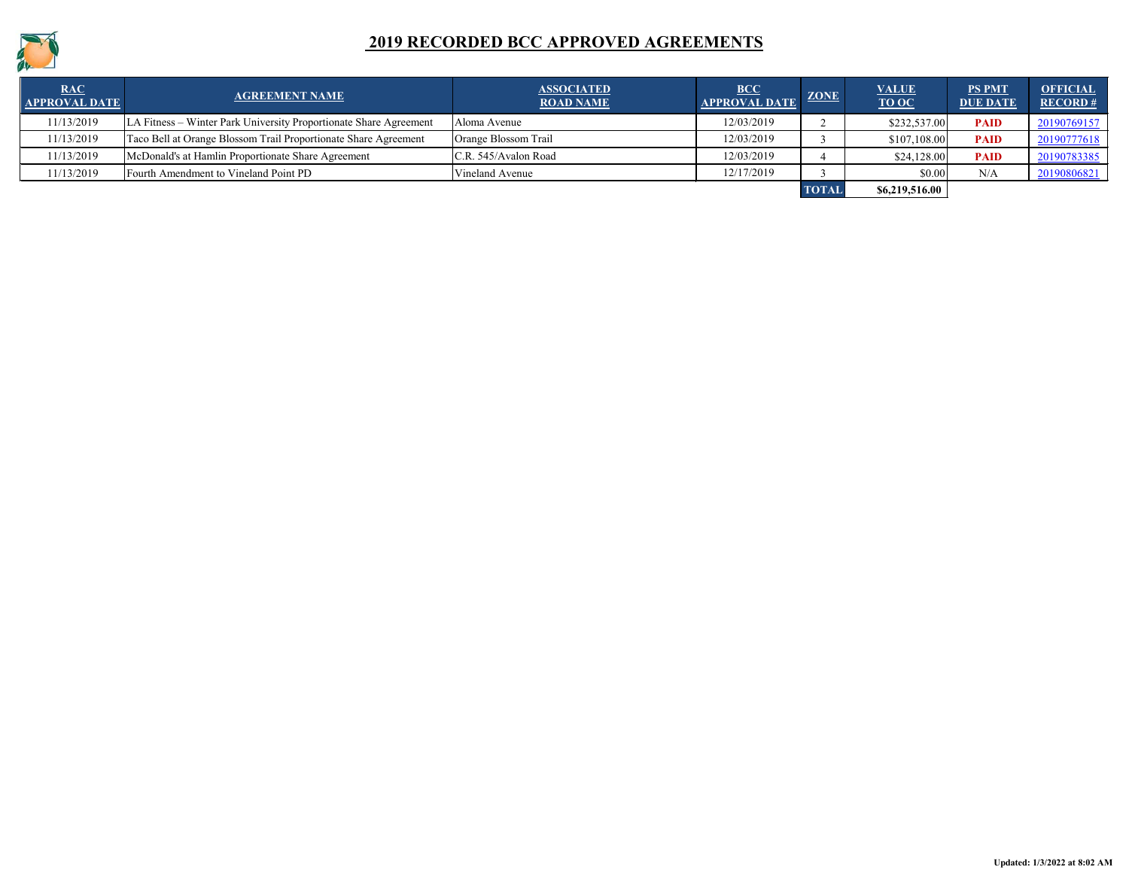

| <b>RAC</b><br><b>APPROVAL DATE</b> | <b>AGREEMENT NAME</b>                                             | <b>ASSOCIATED</b><br><b>ROAD NAME</b> | <b>BCC</b><br><b>APPROVAL DATE</b> | <b>ZONE</b>  | <b>VALUE</b><br><b>TO OC</b> | <b>PS PMT</b><br><b>DUE DATE</b> | <b>OFFICIAL</b><br>RECORD# |
|------------------------------------|-------------------------------------------------------------------|---------------------------------------|------------------------------------|--------------|------------------------------|----------------------------------|----------------------------|
| 11/13/2019                         | LA Fitness – Winter Park University Proportionate Share Agreement | Aloma Avenue                          | 12/03/2019                         |              | \$232,537.00                 | <b>PAID</b>                      | 20190769157                |
| 11/13/2019                         | Taco Bell at Orange Blossom Trail Proportionate Share Agreement   | Orange Blossom Trail                  | 12/03/2019                         |              | \$107,108.00                 | <b>PAID</b>                      | 20190777618                |
| 11/13/2019                         | McDonald's at Hamlin Proportionate Share Agreement                | C.R. 545/Avalon Road                  | 12/03/2019                         |              | \$24,128.00                  | <b>PAID</b>                      | 20190783385                |
| 11/13/2019                         | Fourth Amendment to Vineland Point PD                             | Vineland Avenue                       | 12/17/2019                         |              | \$0.00                       | N/A                              | 20190806821                |
|                                    |                                                                   |                                       |                                    | <b>TOTAI</b> | \$6,219,516.00               |                                  |                            |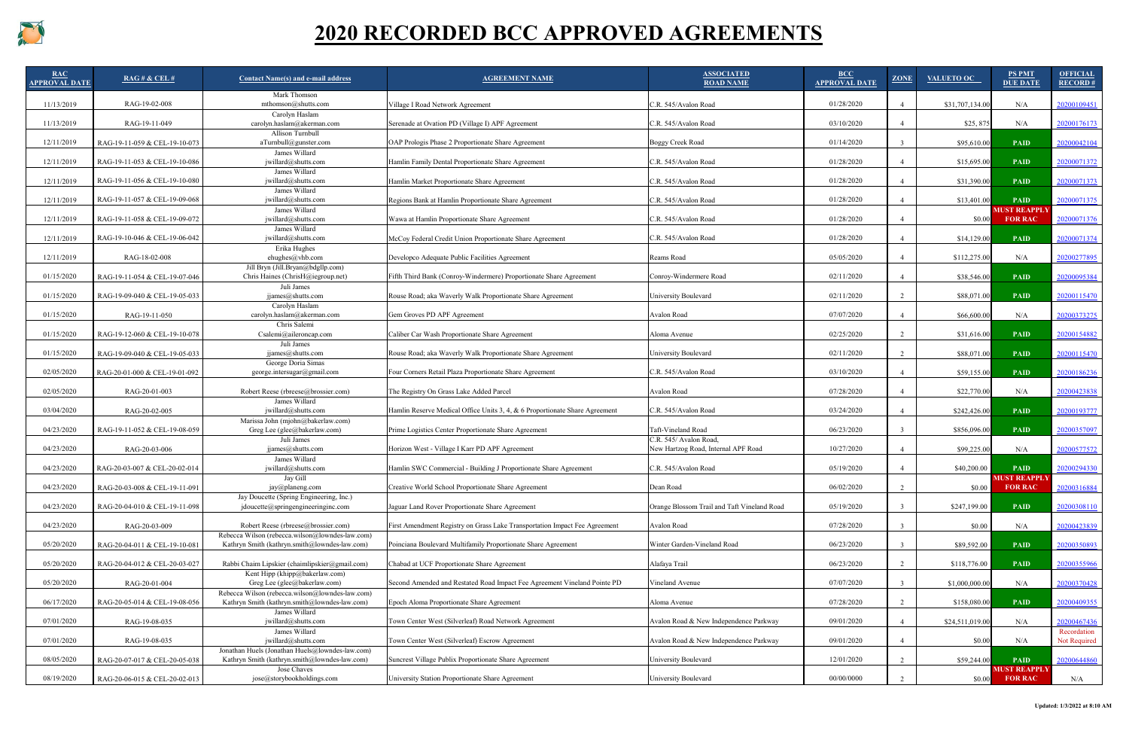

| RAC<br><b>APPROVAL DATE</b> | $RAG \# \& \text{CEL } #$     | <b>Contact Name(s) and e-mail address</b>                                                        | <b>AGREEMENT NAME</b>                                                       | <b>ASSOCIATED</b><br><b>ROAD NAME</b>                         | <b>BCC</b><br><b>APPROVAL DATE</b> | <b>ZONE</b> | VALUETO OC      | <b>PS PMT</b><br><b>DUE DATE</b>      | <b>OFFICIAL</b><br>RECORD#  |
|-----------------------------|-------------------------------|--------------------------------------------------------------------------------------------------|-----------------------------------------------------------------------------|---------------------------------------------------------------|------------------------------------|-------------|-----------------|---------------------------------------|-----------------------------|
| 11/13/2019                  | RAG-19-02-008                 | Mark Thomson<br>mthomson@shutts.com                                                              | Village I Road Network Agreement                                            | C.R. 545/Avalon Road                                          | 01/28/2020                         |             | \$31,707,134.00 | N/A                                   | 20200109451                 |
| 11/13/2019                  | RAG-19-11-049                 | Carolyn Haslam<br>$\alpha$ carolyn.haslam $\omega$ akerman.com                                   | Serenade at Ovation PD (Village I) APF Agreement                            | C.R. 545/Avalon Road                                          | 03/10/2020                         |             | \$25,875        | N/A                                   | 20200176173                 |
| 12/11/2019                  | RAG-19-11-059 & CEL-19-10-073 | Allison Turnbull<br>aTurnbull@gunster.com                                                        | OAP Prologis Phase 2 Proportionate Share Agreement                          | Boggy Creek Road                                              | 01/14/2020                         |             | \$95,610.00     | <b>PAID</b>                           | 20200042104                 |
| 12/11/2019                  | RAG-19-11-053 & CEL-19-10-086 | James Willard<br>jwillard@shutts.com                                                             | Hamlin Family Dental Proportionate Share Agreement                          | C.R. 545/Avalon Road                                          | 01/28/2020                         |             | \$15,695.00     | <b>PAID</b>                           | 20200071372                 |
| 12/11/2019                  | RAG-19-11-056 & CEL-19-10-080 | James Willard<br>$j$ willard@shutts.com                                                          | Hamlin Market Proportionate Share Agreement                                 | C.R. 545/Avalon Road                                          | 01/28/2020                         |             | \$31,390.00     | <b>PAID</b>                           | 20200071373                 |
| 12/11/2019                  | RAG-19-11-057 & CEL-19-09-068 | James Willard<br>jwillard@shutts.com                                                             | Regions Bank at Hamlin Proportionate Share Agreement                        | C.R. 545/Avalon Road                                          | 01/28/2020                         |             | \$13,401.00     | <b>PAID</b>                           | 20200071375                 |
| 12/11/2019                  | RAG-19-11-058 & CEL-19-09-072 | James Willard<br>jwillard@shutts.com                                                             | Wawa at Hamlin Proportionate Share Agreement                                | C.R. 545/Avalon Road                                          | 01/28/2020                         |             | \$0.00          | <b>MUST REAPPLY</b><br><b>FOR RAC</b> | 20200071376                 |
| 12/11/2019                  | RAG-19-10-046 & CEL-19-06-042 | James Willard<br>$j$ willard@shutts.com                                                          | McCoy Federal Credit Union Proportionate Share Agreement                    | C.R. 545/Avalon Road                                          | 01/28/2020                         |             | \$14,129.00     | <b>PAID</b>                           | 20200071374                 |
| 12/11/2019                  | RAG-18-02-008                 | Erika Hughes<br>ehughes@vhb.com                                                                  | Developco Adequate Public Facilities Agreement                              | Reams Road                                                    | 05/05/2020                         |             | \$112,275.00    | N/A                                   | 20200277895                 |
| 01/15/2020                  | RAG-19-11-054 & CEL-19-07-046 | Jill Bryn (Jill.Bryan@bdgllp.com)<br>Chris Haines (ChrisH@iegroup.net)                           | Fifth Third Bank (Conroy-Windermere) Proportionate Share Agreement          | Conroy-Windermere Road                                        | 02/11/2020                         |             | \$38,546.00     | <b>PAID</b>                           | 20200095384                 |
| 01/15/2020                  | RAG-19-09-040 & CEL-19-05-033 | Juli James<br>ijames@shutts.com                                                                  | Rouse Road; aka Waverly Walk Proportionate Share Agreement                  | University Boulevard                                          | 02/11/2020                         |             | \$88,071.00     | <b>PAID</b>                           | 20200115470                 |
| 01/15/2020                  | RAG-19-11-050                 | Carolyn Haslam<br>carolyn. has lam@akerman.com                                                   | Gem Groves PD APF Agreement                                                 | Avalon Road                                                   | 07/07/2020                         |             | \$66,600.00     | N/A                                   | 20200373275                 |
| 01/15/2020                  | RAG-19-12-060 & CEL-19-10-078 | Chris Salemi<br>Csalemi@aileroncap.com                                                           | Caliber Car Wash Proportionate Share Agreement                              | Aloma Avenue                                                  | 02/25/2020                         |             | \$31,616.00     | <b>PAID</b>                           | 20200154882                 |
| 01/15/2020                  | RAG-19-09-040 & CEL-19-05-033 | Juli James<br>ijames@shutts.com                                                                  | Rouse Road; aka Waverly Walk Proportionate Share Agreement                  | University Boulevard                                          | 02/11/2020                         |             | \$88,071.00     | <b>PAID</b>                           | 20200115470                 |
| 02/05/2020                  | RAG-20-01-000 & CEL-19-01-092 | George Doria Simas<br>george.intersugar@gmail.com                                                | Four Corners Retail Plaza Proportionate Share Agreement                     | C.R. 545/Avalon Road                                          | 03/10/2020                         |             | \$59,155.00     | <b>PAID</b>                           | 20200186236                 |
| 02/05/2020                  | RAG-20-01-003                 | Robert Reese (rbreese@brossier.com)                                                              | The Registry On Grass Lake Added Parcel                                     | Avalon Road                                                   | 07/28/2020                         |             | \$22,770.00     | N/A                                   | 20200423838                 |
| 03/04/2020                  | RAG-20-02-005                 | James Willard<br>$i$ willard@shutts.com                                                          | Hamlin Reserve Medical Office Units 3, 4, & 6 Proportionate Share Agreement | C.R. 545/Avalon Road                                          | 03/24/2020                         |             | \$242,426.00    | <b>PAID</b>                           | 20200193777                 |
| 04/23/2020                  | RAG-19-11-052 & CEL-19-08-059 | Marissa John (mjohn@bakerlaw.com)<br>Greg Lee (glee@bakerlaw.com)                                | Prime Logistics Center Proportionate Share Agreement                        | Taft-Vineland Road                                            | 06/23/2020                         |             | \$856,096.00    | <b>PAID</b>                           | 20200357097                 |
| 04/23/2020                  | RAG-20-03-006                 | Juli James<br>jjames@shutts.com                                                                  | Horizon West - Village I Karr PD APF Agreement                              | C.R. 545/ Avalon Road,<br>New Hartzog Road, Internal APF Road | 10/27/2020                         |             | \$99,225.00     | N/A                                   | 20200577572                 |
| 04/23/2020                  | RAG-20-03-007 & CEL-20-02-014 | James Willard<br>$j$ willard $@s$ hutts.com                                                      | Hamlin SWC Commercial - Building J Proportionate Share Agreement            | C.R. 545/Avalon Road                                          | 05/19/2020                         |             | \$40,200.00     | <b>PAID</b>                           | 20200294330                 |
| 04/23/2020                  | RAG-20-03-008 & CEL-19-11-091 | Jay Gill<br>jay@planeng.com                                                                      | Creative World School Proportionate Share Agreement                         | Dean Road                                                     | 06/02/2020                         |             | \$0.00          | <b>MUST REAPPLY</b><br><b>FOR RAC</b> | 20200316884                 |
| 04/23/2020                  | RAG-20-04-010 & CEL-19-11-098 | Jay Doucette (Spring Engineering, Inc.)<br>jdoucette@springengineeringinc.com                    | Jaguar Land Rover Proportionate Share Agreement                             | Orange Blossom Trail and Taft Vineland Road                   | 05/19/2020                         |             | \$247,199.00    | <b>PAID</b>                           | 20200308110                 |
| 04/23/2020                  | RAG-20-03-009                 | Robert Reese (rbreese@brossier.com)                                                              | First Amendment Registry on Grass Lake Transportation Impact Fee Agreement  | Avalon Road                                                   | 07/28/2020                         |             | \$0.00          | N/A                                   | 20200423839                 |
| 05/20/2020                  | RAG-20-04-011 & CEL-19-10-081 | Rebecca Wilson (rebecca.wilson@lowndes-law.com)<br>Kathryn Smith (kathryn.smith@lowndes-law.com) | Poinciana Boulevard Multifamily Proportionate Share Agreement               | Winter Garden-Vineland Road                                   | 06/23/2020                         |             | \$89,592.00     | <b>PAID</b>                           | 20200350893                 |
| 05/20/2020                  | RAG-20-04-012 & CEL-20-03-027 | Rabbi Chaim Lipskier (chaimlipskier@gmail.com)                                                   | Chabad at UCF Proportionate Share Agreement                                 | Alafaya Trail                                                 | 06/23/2020                         |             | \$118,776.00    | <b>PAID</b>                           | 20200355966                 |
| 05/20/2020                  | RAG-20-01-004                 | Kent Hipp (khipp@bakerlaw.com)<br>Greg Lee (glee@bakerlaw.com)                                   | Second Amended and Restated Road Impact Fee Agreement Vineland Pointe PD    | Vineland Avenue                                               | 07/07/2020                         |             | \$1,000,000.00  | N/A                                   | 20200370428                 |
| 06/17/2020                  | RAG-20-05-014 & CEL-19-08-056 | Rebecca Wilson (rebecca.wilson@lowndes-law.com)<br>Kathryn Smith (kathryn.smith@lowndes-law.com) | Epoch Aloma Proportionate Share Agreement                                   | Aloma Avenue                                                  | 07/28/2020                         |             | \$158,080.00    | <b>PAID</b>                           | 20200409355                 |
| 07/01/2020                  | RAG-19-08-035                 | James Willard<br>$j$ willard@shutts.com                                                          | Town Center West (Silverleaf) Road Network Agreement                        | Avalon Road & New Independence Parkway                        | 09/01/2020                         |             | \$24,511,019.00 | N/A                                   | 20200467436                 |
| 07/01/2020                  | RAG-19-08-035                 | James Willard<br>jwillard@shutts.com                                                             | Town Center West (Silverleaf) Escrow Agreement                              | Avalon Road & New Independence Parkway                        | 09/01/2020                         |             | \$0.00          | N/A                                   | Recordation<br>Not Required |
| 08/05/2020                  | RAG-20-07-017 & CEL-20-05-038 | Jonathan Huels (Jonathan Huels@lowndes-law.com)<br>Kathryn Smith (kathryn.smith@lowndes-law.com) | Suncrest Village Publix Proportionate Share Agreement                       | University Boulevard                                          | 12/01/2020                         |             | \$59,244.00     | <b>PAID</b>                           | 20200644860                 |
| 08/19/2020                  | RAG-20-06-015 & CEL-20-02-013 | Jose Chaves<br>jose@storybookholdings.com                                                        | University Station Proportionate Share Agreement                            | University Boulevard                                          | 00/00/0000                         |             | \$0.00          | <b>MUST REAPPLY</b><br><b>FOR RAC</b> | N/A                         |